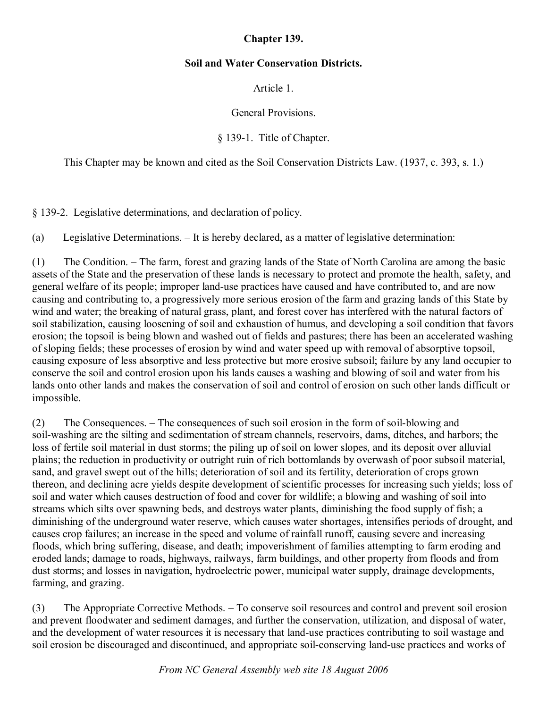# **Chapter 139.**

# **Soil and Water Conservation Districts.**

Article 1.

General Provisions.

§ 139-1. Title of Chapter.

This Chapter may be known and cited as the Soil Conservation Districts Law. (1937, c. 393, s. 1.)

§ 1392. Legislative determinations, and declaration of policy.

(a) Legislative Determinations. – It is hereby declared, as a matter of legislative determination:

(1) The Condition. – The farm, forest and grazing lands of the State of North Carolina are among the basic assets of the State and the preservation of these lands is necessary to protect and promote the health, safety, and general welfare of its people; improper land-use practices have caused and have contributed to, and are now causing and contributing to, a progressively more serious erosion of the farm and grazing lands of this State by wind and water; the breaking of natural grass, plant, and forest cover has interfered with the natural factors of soil stabilization, causing loosening of soil and exhaustion of humus, and developing a soil condition that favors erosion; the topsoil is being blown and washed out of fields and pastures; there has been an accelerated washing of sloping fields; these processes of erosion by wind and water speed up with removal of absorptive topsoil, causing exposure of less absorptive and less protective but more erosive subsoil; failure by any land occupier to conserve the soil and control erosion upon his lands causes a washing and blowing of soil and water from his lands onto other lands and makes the conservation of soil and control of erosion on such other lands difficult or impossible.

(2) The Consequences. – The consequences of such soil erosion in the form of soil-blowing and soil-washing are the silting and sedimentation of stream channels, reservoirs, dams, ditches, and harbors; the loss of fertile soil material in dust storms; the piling up of soil on lower slopes, and its deposit over alluvial plains; the reduction in productivity or outright ruin of rich bottomlands by overwash of poor subsoil material, sand, and gravel swept out of the hills; deterioration of soil and its fertility, deterioration of crops grown thereon, and declining acre yields despite development of scientific processes for increasing such yields; loss of soil and water which causes destruction of food and cover for wildlife; a blowing and washing of soil into streams which silts over spawning beds, and destroys water plants, diminishing the food supply of fish; a diminishing of the underground water reserve, which causes water shortages, intensifies periods of drought, and causes crop failures; an increase in the speed and volume of rainfall runoff, causing severe and increasing floods, which bring suffering, disease, and death; impoverishment of families attempting to farm eroding and eroded lands; damage to roads, highways, railways, farm buildings, and other property from floods and from dust storms; and losses in navigation, hydroelectric power, municipal water supply, drainage developments, farming, and grazing.

(3) The Appropriate Corrective Methods. – To conserve soil resources and control and prevent soil erosion and prevent floodwater and sediment damages, and further the conservation, utilization, and disposal of water, and the development of water resources it is necessary that land-use practices contributing to soil wastage and soil erosion be discouraged and discontinued, and appropriate soil-conserving land-use practices and works of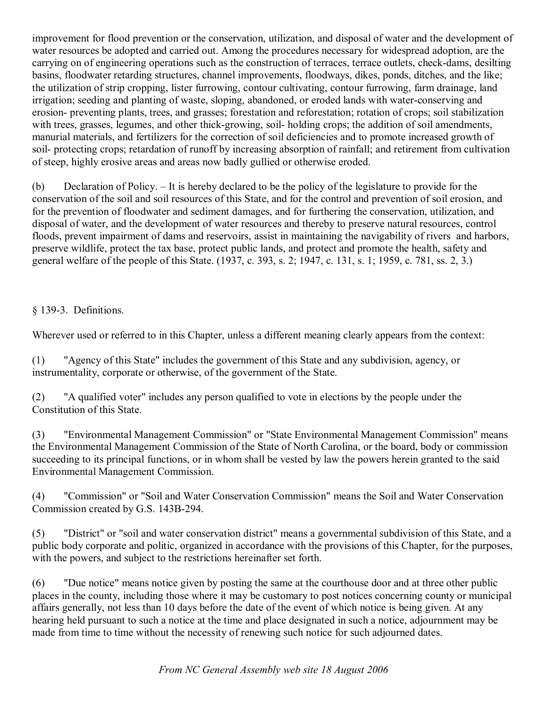improvement for flood prevention or the conservation, utilization, and disposal of water and the development of water resources be adopted and carried out. Among the procedures necessary for widespread adoption, are the carrying on of engineering operations such as the construction of terraces, terrace outlets, check-dams, desilting basins, floodwater retarding structures, channel improvements, floodways, dikes, ponds, ditches, and the like; the utilization of strip cropping, lister furrowing, contour cultivating, contour furrowing, farm drainage, land irrigation; seeding and planting of waste, sloping, abandoned, or eroded lands with water-conserving and erosion- preventing plants, trees, and grasses; forestation and reforestation; rotation of crops; soil stabilization with trees, grasses, legumes, and other thick-growing, soil-holding crops; the addition of soil amendments, manurial materials, and fertilizers for the correction of soil deficiencies and to promote increased growth of soil- protecting crops; retardation of runoff by increasing absorption of rainfall; and retirement from cultivation of steep, highly erosive areas and areas now badly gullied or otherwise eroded.

(b) Declaration of Policy. – It is hereby declared to be the policy of the legislature to provide for the conservation of the soil and soil resources of this State, and for the control and prevention of soil erosion, and for the prevention of floodwater and sediment damages, and for furthering the conservation, utilization, and disposal of water, and the development of water resources and thereby to preserve natural resources, control floods, prevent impairment of dams and reservoirs, assist in maintaining the navigability of rivers and harbors, preserve wildlife, protect the tax base, protect public lands, and protect and promote the health, safety and general welfare of the people of this State. (1937, c. 393, s. 2; 1947, c. 131, s. 1; 1959, c. 781, ss. 2, 3.)

§ 139-3. Definitions.

Wherever used or referred to in this Chapter, unless a different meaning clearly appears from the context:

(1) "Agency of this State" includes the government of this State and any subdivision, agency, or instrumentality, corporate or otherwise, of the government of the State.

(2) "A qualified voter" includes any person qualified to vote in elections by the people under the Constitution of this State.

(3) "Environmental Management Commission" or "State Environmental Management Commission" means the Environmental Management Commission of the State of North Carolina, or the board, body or commission succeeding to its principal functions, or in whom shall be vested by law the powers herein granted to the said Environmental Management Commission.

(4) "Commission" or "Soil and Water Conservation Commission" means the Soil and Water Conservation Commission created by G.S. 143B-294.

(5) "District" or "soil and water conservation district" means a governmental subdivision of this State, and a public body corporate and politic, organized in accordance with the provisions of this Chapter, for the purposes, with the powers, and subject to the restrictions hereinafter set forth.

(6) "Due notice" means notice given by posting the same at the courthouse door and at three other public places in the county, including those where it may be customary to post notices concerning county or municipal affairs generally, not less than 10 days before the date of the event of which notice is being given. At any hearing held pursuant to such a notice at the time and place designated in such a notice, adjournment may be made from time to time without the necessity of renewing such notice for such adjourned dates.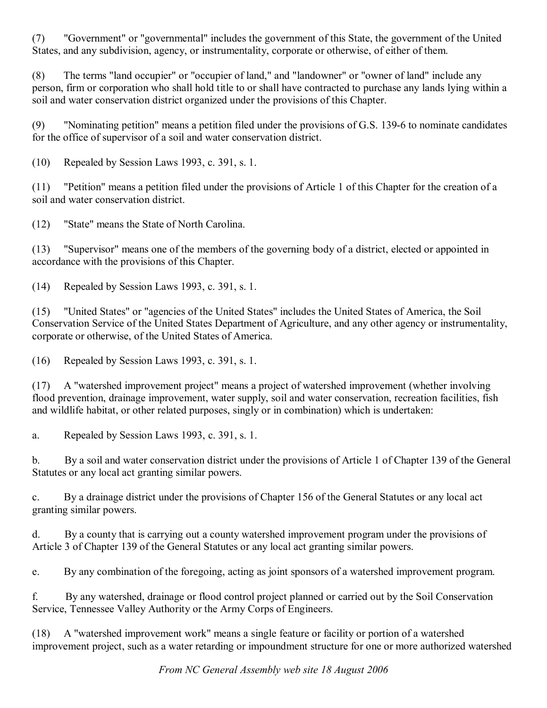(7) "Government" or "governmental" includes the government of this State, the government of the United States, and any subdivision, agency, or instrumentality, corporate or otherwise, of either of them.

(8) The terms "land occupier" or "occupier of land," and "landowner" or "owner of land" include any person, firm or corporation who shall hold title to or shall have contracted to purchase any lands lying within a soil and water conservation district organized under the provisions of this Chapter.

(9) "Nominating petition" means a petition filed under the provisions of G.S. 139-6 to nominate candidates for the office of supervisor of a soil and water conservation district.

(10) Repealed by Session Laws 1993, c. 391, s. 1.

(11) "Petition" means a petition filed under the provisions of Article 1 of this Chapter for the creation of a soil and water conservation district.

(12) "State" means the State of North Carolina.

(13) "Supervisor" means one of the members of the governing body of a district, elected or appointed in accordance with the provisions of this Chapter.

(14) Repealed by Session Laws 1993, c. 391, s. 1.

(15) "United States" or "agencies of the United States" includes the United States of America, the Soil Conservation Service of the United States Department of Agriculture, and any other agency or instrumentality, corporate or otherwise, of the United States of America.

(16) Repealed by Session Laws 1993, c. 391, s. 1.

(17) A "watershed improvement project" means a project of watershed improvement (whether involving flood prevention, drainage improvement, water supply, soil and water conservation, recreation facilities, fish and wildlife habitat, or other related purposes, singly or in combination) which is undertaken:

a. Repealed by Session Laws 1993, c. 391, s. 1.

b. By a soil and water conservation district under the provisions of Article 1 of Chapter 139 of the General Statutes or any local act granting similar powers.

c. By a drainage district under the provisions of Chapter 156 of the General Statutes or any local act granting similar powers.

d. By a county that is carrying out a county watershed improvement program under the provisions of Article 3 of Chapter 139 of the General Statutes or any local act granting similar powers.

e. By any combination of the foregoing, acting as joint sponsors of a watershed improvement program.

f. By any watershed, drainage or flood control project planned or carried out by the Soil Conservation Service, Tennessee Valley Authority or the Army Corps of Engineers.

(18) A "watershed improvement work" means a single feature or facility or portion of a watershed improvement project, such as a water retarding or impoundment structure for one or more authorized watershed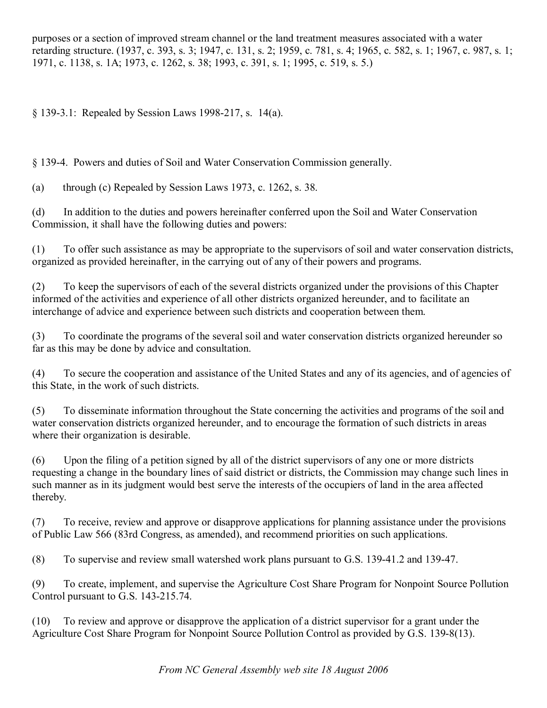purposes or a section of improved stream channel or the land treatment measures associated with a water retarding structure. (1937, c. 393, s. 3; 1947, c. 131, s. 2; 1959, c. 781, s. 4; 1965, c. 582, s. 1; 1967, c. 987, s. 1; 1971, c. 1138, s. 1A; 1973, c. 1262, s. 38; 1993, c. 391, s. 1; 1995, c. 519, s. 5.)

§ 139-3.1: Repealed by Session Laws 1998-217, s. 14(a).

§ 1394. Powers and duties of Soil and Water Conservation Commission generally.

(a) through (c) Repealed by Session Laws 1973, c. 1262, s. 38.

(d) In addition to the duties and powers hereinafter conferred upon the Soil and Water Conservation Commission, it shall have the following duties and powers:

(1) To offer such assistance as may be appropriate to the supervisors of soil and water conservation districts, organized as provided hereinafter, in the carrying out of any of their powers and programs.

(2) To keep the supervisors of each of the several districts organized under the provisions of this Chapter informed of the activities and experience of all other districts organized hereunder, and to facilitate an interchange of advice and experience between such districts and cooperation between them.

(3) To coordinate the programs of the several soil and water conservation districts organized hereunder so far as this may be done by advice and consultation.

(4) To secure the cooperation and assistance of the United States and any of its agencies, and of agencies of this State, in the work of such districts.

(5) To disseminate information throughout the State concerning the activities and programs of the soil and water conservation districts organized hereunder, and to encourage the formation of such districts in areas where their organization is desirable.

(6) Upon the filing of a petition signed by all of the district supervisors of any one or more districts requesting a change in the boundary lines of said district or districts, the Commission may change such lines in such manner as in its judgment would best serve the interests of the occupiers of land in the area affected thereby.

(7) To receive, review and approve or disapprove applications for planning assistance under the provisions of Public Law 566 (83rd Congress, as amended), and recommend priorities on such applications.

(8) To supervise and review small watershed work plans pursuant to G.S. 139-41.2 and 139-47.

(9) To create, implement, and supervise the Agriculture Cost Share Program for Nonpoint Source Pollution Control pursuant to G.S. 143-215.74.

(10) To review and approve or disapprove the application of a district supervisor for a grant under the Agriculture Cost Share Program for Nonpoint Source Pollution Control as provided by G.S. 139-8(13).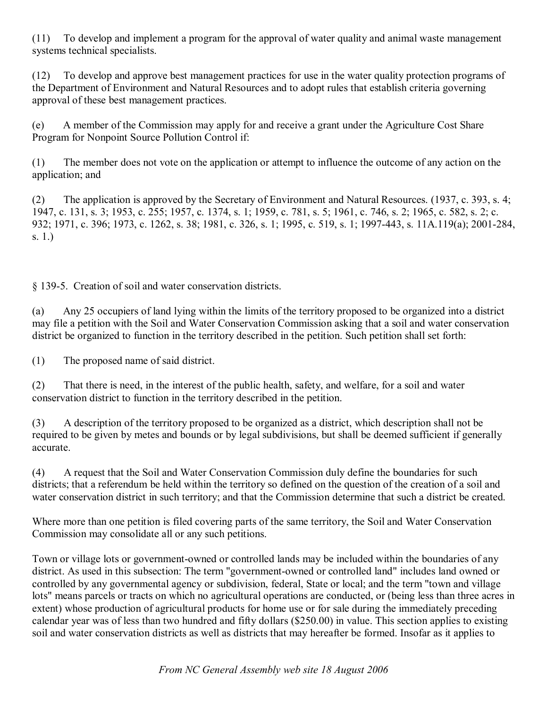(11) To develop and implement a program forthe approval of water quality and animal waste management systems technical specialists.

(12) To develop and approve best management practices for use in the water quality protection programs of the Department of Environment and Natural Resources and to adopt rules that establish criteria governing approval of these best management practices.

(e) A member of the Commission may apply for and receive a grant under the Agriculture Cost Share Program for Nonpoint Source Pollution Control if:

(1) The member does not vote on the application or attempt to influence the outcome of any action on the application; and

(2) The application is approved by the Secretary of Environment and Natural Resources. (1937, c. 393, s. 4; 1947, c. 131, s. 3; 1953, c. 255; 1957, c. 1374, s. 1; 1959, c. 781, s. 5; 1961, c. 746, s. 2; 1965, c. 582, s. 2; c. 932; 1971, c. 396; 1973, c. 1262, s. 38; 1981, c. 326, s. 1; 1995, c. 519, s. 1; 1997-443, s. 11A.119(a); 2001-284, s. 1.)

§ 139-5. Creation of soil and water conservation districts.

(a) Any 25 occupiers of land lying within the limits of the territory proposed to be organized into a district may file a petition with the Soil and Water Conservation Commission asking that a soil and water conservation district be organized to function in the territory described in the petition. Such petition shall set forth:

(1) The proposed name of said district.

(2) That there is need, in the interest of the public health, safety, and welfare, for a soil and water conservation district to function in the territory described in the petition.

(3) A description of the territory proposed to be organized as a district, which description shall not be required to be given by metes and bounds or by legal subdivisions, but shall be deemed sufficient if generally accurate.

(4) A request that the Soil and Water Conservation Commission duly define the boundaries for such districts; that a referendum be held within the territory so defined on the question of the creation of a soil and water conservation district in such territory; and that the Commission determine that such a district be created.

Where more than one petition is filed covering parts of the same territory, the Soil and Water Conservation Commission may consolidate all or any such petitions.

Town or village lots or government-owned or controlled lands may be included within the boundaries of any district. As used in this subsection: The term "government-owned or controlled land" includes land owned or controlled by any governmental agency or subdivision, federal, State or local; and the term "town and village lots" means parcels or tracts on which no agricultural operations are conducted, or (being less than three acres in extent) whose production of agricultural products for home use or for sale during the immediately preceding calendar year was of less than two hundred and fifty dollars (\$250.00) in value. This section applies to existing soil and water conservation districts as well as districts that may hereafter be formed. Insofar as it applies to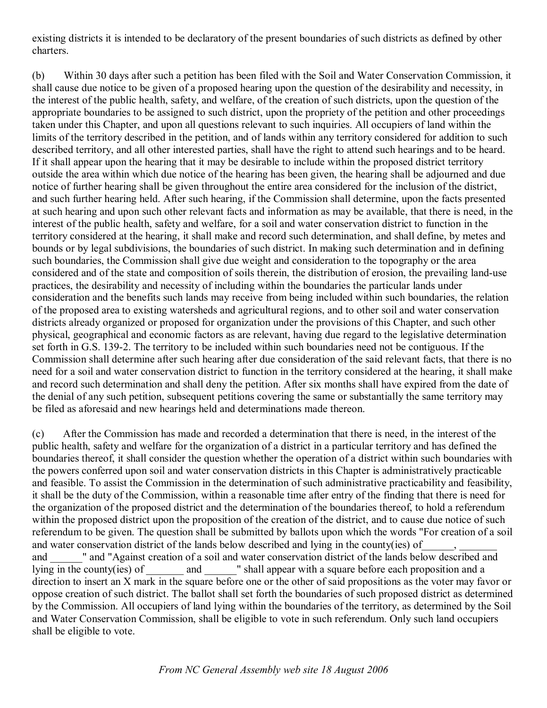existing districts it is intended to be declaratory of the present boundaries of such districts as defined by other charters.

(b) Within 30 days after such a petition has been filed with the Soil and Water Conservation Commission, it shall cause due notice to be given of a proposed hearing upon the question of the desirability and necessity, in the interest of the public health, safety, and welfare, of the creation of such districts, upon the question of the appropriate boundaries to be assigned to such district, upon the propriety of the petition and other proceedings taken under this Chapter, and upon all questions relevant to such inquiries. All occupiers of land within the limits of the territory described in the petition, and of lands within any territory considered for addition to such described territory, and all other interested parties, shall have the right to attend such hearings and to be heard. If it shall appear upon the hearing that it may be desirable to include within the proposed district territory outside the area within which due notice of the hearing has been given, the hearing shall be adjourned and due notice of further hearing shall be given throughout the entire area considered for the inclusion of the district, and such further hearing held. After such hearing, if the Commission shall determine, upon the facts presented at such hearing and upon such other relevant facts and information as may be available, that there is need, in the interest of the public health, safety and welfare, for a soil and water conservation district to function in the territory considered at the hearing, it shall make and record such determination, and shall define, by metes and bounds or by legal subdivisions, the boundaries of such district. In making such determination and in defining such boundaries, the Commission shall give due weight and consideration to the topography or the area considered and of the state and composition of soils therein, the distribution of erosion, the prevailing land-use practices, the desirability and necessity of including within the boundaries the particular lands under consideration and the benefits such lands may receive from being included within such boundaries, the relation of the proposed area to existing watersheds and agricultural regions, and to other soil and water conservation districts already organized or proposed for organization under the provisions of this Chapter, and such other physical, geographical and economic factors as are relevant, having due regard to the legislative determination set forth in G.S. 139-2. The territory to be included within such boundaries need not be contiguous. If the Commission shall determine after such hearing after due consideration of the said relevant facts, that there is no need for a soil and water conservation district to function in the territory considered at the hearing, it shall make and record such determination and shall deny the petition. After six months shall have expired from the date of the denial of any such petition, subsequent petitions covering the same or substantially the same territory may be filed as aforesaid and new hearings held and determinations made thereon.

(c) After the Commission has made and recorded a determination that there is need, in the interest of the public health, safety and welfare for the organization of a district in a particular territory and has defined the boundaries thereof, it shall consider the question whether the operation of a district within such boundaries with the powers conferred upon soil and water conservation districts in this Chapter is administratively practicable and feasible. To assist the Commission in the determination of such administrative practicability and feasibility, it shall be the duty of the Commission, within a reasonable time after entry of the finding that there is need for the organization of the proposed district and the determination of the boundaries thereof, to hold a referendum within the proposed district upon the proposition of the creation of the district, and to cause due notice of such referendum to be given. The question shall be submitted by ballots upon which the words "For creation of a soil and water conservation district of the lands below described and lying in the county(ies) of and  $\blacksquare$  and "Against creation of a soil and water conservation district of the lands below described and lying in the county(ies) of and T shall appear with a square before each proposition and a direction to insert an X mark in the square before one or the other of said propositions as the voter may favor or oppose creation of such district. The ballot shall set forth the boundaries of such proposed district as determined by the Commission. All occupiers of land lying within the boundaries of the territory, as determined by the Soil and Water Conservation Commission, shall be eligible to vote in such referendum. Only such land occupiers shall be eligible to vote.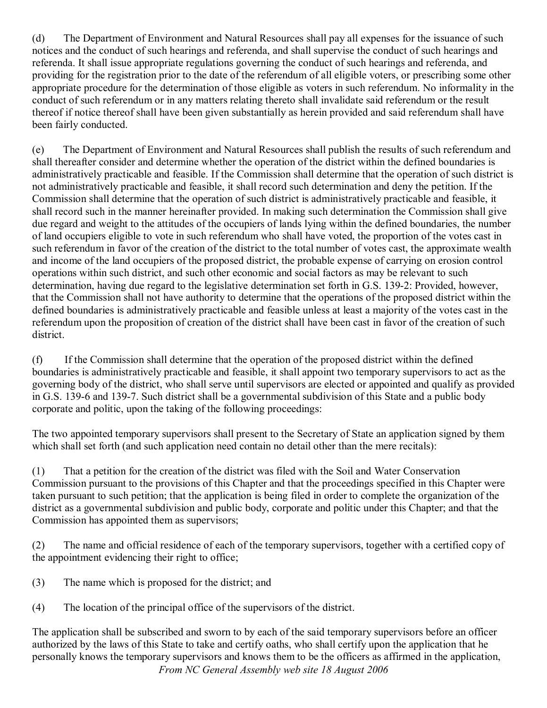(d) The Department of Environment and Natural Resources shall pay all expenses for the issuance of such notices and the conduct of such hearings and referenda, and shall supervise the conduct of such hearings and referenda. It shall issue appropriate regulations governing the conduct of such hearings and referenda, and providing for the registration prior to the date of the referendum of all eligible voters, or prescribing some other appropriate procedure for the determination of those eligible as voters in such referendum. No informality in the conduct of such referendum or in any matters relating thereto shall invalidate said referendum or the result thereof if notice thereof shall have been given substantially as herein provided and said referendum shall have been fairly conducted.

(e) The Department of Environment and Natural Resources shall publish the results of such referendum and shall thereafter consider and determine whether the operation of the district within the defined boundaries is administratively practicable and feasible. If the Commission shall determine that the operation of such district is not administratively practicable and feasible, it shall record such determination and deny the petition. If the Commission shall determine that the operation of such district is administratively practicable and feasible, it shall record such in the manner hereinafter provided. In making such determination the Commission shall give due regard and weight to the attitudes of the occupiers of lands lying within the defined boundaries, the number of land occupiers eligible to vote in such referendum who shall have voted, the proportion of the votes cast in such referendum in favor of the creation of the district to the total number of votes cast, the approximate wealth and income of the land occupiers of the proposed district, the probable expense of carrying on erosion control operations within such district, and such other economic and social factors as may be relevant to such determination, having due regard to the legislative determination set forth in G.S. 139-2: Provided, however, that the Commission shall not have authority to determine that the operations of the proposed district within the defined boundaries is administratively practicable and feasible unless at least a majority of the votes cast in the referendum upon the proposition of creation of the district shall have been cast in favor of the creation of such district.

(f) If the Commission shall determine that the operation of the proposed district within the defined boundaries is administratively practicable and feasible, it shall appoint two temporary supervisors to act as the governing body of the district, who shall serve until supervisors are elected or appointed and qualify as provided in G.S. 139-6 and 139-7. Such district shall be a governmental subdivision of this State and a public body corporate and politic, upon the taking of the following proceedings:

The two appointed temporary supervisors shall present to the Secretary of State an application signed by them which shall set forth (and such application need contain no detail other than the mere recitals):

(1) That a petition for the creation of the district was filed with the Soil and Water Conservation Commission pursuant to the provisions of this Chapter and that the proceedings specified in this Chapter were taken pursuant to such petition; that the application is being filed in order to complete the organization of the district as a governmental subdivision and public body, corporate and politic under this Chapter; and that the Commission has appointed them as supervisors;

(2) The name and official residence of each of the temporary supervisors, together with a certified copy of the appointment evidencing their right to office;

- (3) The name which is proposed for the district; and
- (4) The location of the principal office of the supervisors of the district.

*From NC General Assembly web site 18 August 2006* The application shall be subscribed and sworn to by each of the said temporary supervisors before an officer authorized by the laws of this State to take and certify oaths, who shall certify upon the application that he personally knows the temporary supervisors and knows them to be the officers as affirmed in the application,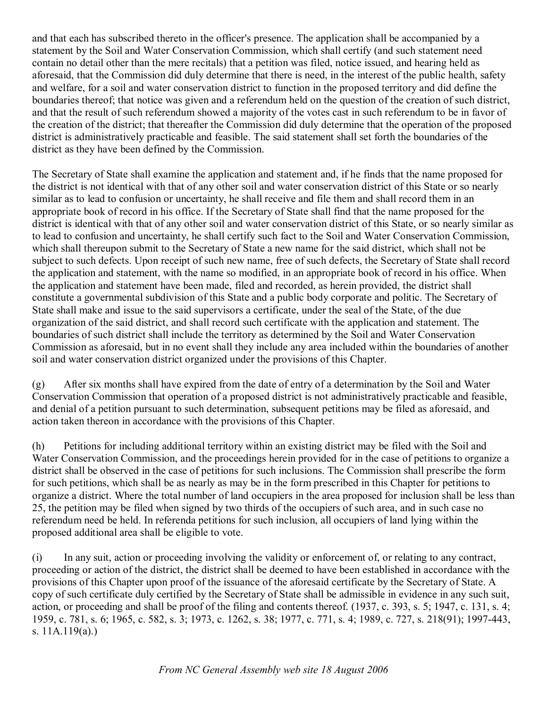and that each has subscribed thereto in the officer's presence. The application shall be accompanied by a statement by the Soil and Water Conservation Commission, which shall certify (and such statement need contain no detail other than the mere recitals) that a petition was filed, notice issued, and hearing held as aforesaid, that the Commission did duly determine that there is need, in the interest of the public health, safety and welfare, for a soil and water conservation district to function in the proposed territory and did define the boundaries thereof; that notice was given and a referendum held on the question of the creation of such district, and that the result of such referendum showed a majority of the votes cast in such referendum to be in favor of the creation of the district; that thereafter the Commission did duly determine that the operation of the proposed district is administratively practicable and feasible. The said statement shall set forth the boundaries of the district as they have been defined by the Commission.

The Secretary of State shall examine the application and statement and, if he finds that the name proposed for the district is not identical with that of any other soil and water conservation district of this State or so nearly similar as to lead to confusion or uncertainty, he shall receive and file them and shall record them in an appropriate book of record in his office. If the Secretary of State shall find that the name proposed for the district is identical with that of any other soil and water conservation district of this State, or so nearly similar as to lead to confusion and uncertainty, he shall certify such fact to the Soil and Water Conservation Commission, which shall thereupon submit to the Secretary of State a new name for the said district, which shall not be subject to such defects. Upon receipt of such new name, free of such defects, the Secretary of State shall record the application and statement, with the name so modified, in an appropriate book of record in his office. When the application and statement have been made, filed and recorded, as herein provided, the district shall constitute a governmental subdivision of this State and a public body corporate and politic. The Secretary of State shall make and issue to the said supervisors a certificate, under the seal of the State, of the due organization of the said district, and shall record such certificate with the application and statement. The boundaries of such district shall include the territory as determined by the Soil and Water Conservation Commission as aforesaid, but in no event shall they include any area included within the boundaries of another soil and water conservation district organized under the provisions of this Chapter.

(g) After six months shall have expired from the date of entry of a determination by the Soil and Water Conservation Commission that operation of a proposed district is not administratively practicable and feasible, and denial of a petition pursuant to such determination, subsequent petitions may be filed as aforesaid, and action taken thereon in accordance with the provisions of this Chapter.

(h) Petitions for including additional territory within an existing district may be filed with the Soil and Water Conservation Commission, and the proceedings herein provided for in the case of petitions to organize a district shall be observed in the case of petitions for such inclusions. The Commission shall prescribe the form for such petitions, which shall be as nearly as may be in the form prescribed in this Chapter for petitions to organize a district. Where the total number of land occupiers in the area proposed for inclusion shall be less than 25, the petition may be filed when signed by two thirds of the occupiers of such area, and in such case no referendum need be held. In referenda petitions for such inclusion, all occupiers of land lying within the proposed additional area shall be eligible to vote.

(i) In any suit, action or proceeding involving the validity or enforcement of, or relating to any contract, proceeding or action of the district, the district shall be deemed to have been established in accordance with the provisions of this Chapter upon proof of the issuance of the aforesaid certificate by the Secretary of State. A copy of such certificate duly certified by the Secretary of State shall be admissible in evidence in any such suit, action, or proceeding and shall be proof of the filing and contents thereof. (1937, c. 393, s. 5; 1947, c. 131, s. 4; 1959, c. 781, s. 6; 1965, c. 582, s. 3; 1973, c. 1262, s. 38; 1977, c. 771, s. 4; 1989, c. 727, s. 218(91); 1997-443, s. 11A.119(a).)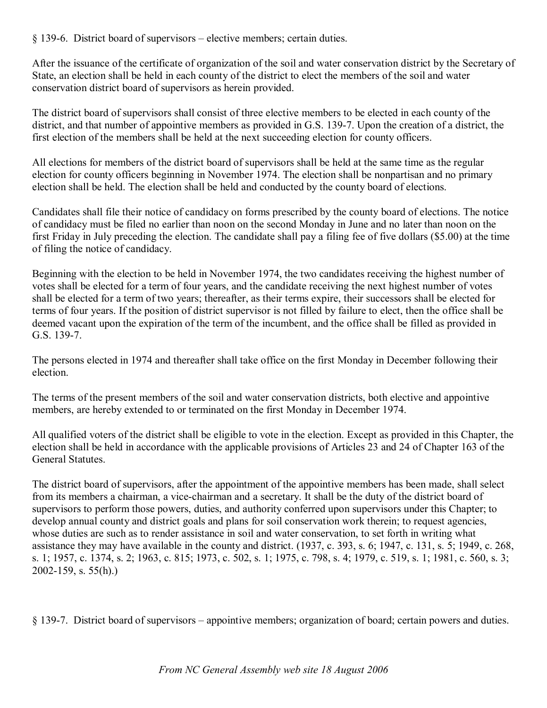$§$  139-6. District board of supervisors – elective members; certain duties.

After the issuance of the certificate of organization of the soil and water conservation district by the Secretary of State, an election shall be held in each county of the district to elect the members of the soil and water conservation district board of supervisors as herein provided.

The district board of supervisors shall consist of three elective members to be elected in each county of the district, and that number of appointive members as provided in G.S. 139-7. Upon the creation of a district, the first election of the members shall be held at the next succeeding election for county officers.

All elections for members of the district board of supervisors shall be held at the same time as the regular election for county officers beginning in November 1974. The election shall be nonpartisan and no primary election shall be held. The election shall be held and conducted by the county board of elections.

Candidates shall file their notice of candidacy on forms prescribed by the county board of elections. The notice of candidacy must be filed no earlier than noon on the second Monday in June and no later than noon on the first Friday in July preceding the election. The candidate shall pay a filing fee of five dollars (\$5.00) at the time of filing the notice of candidacy.

Beginning with the election to be held in November 1974, the two candidates receiving the highest number of votes shall be elected for a term of four years, and the candidate receiving the next highest number of votes shall be elected for a term of two years; thereafter, as their terms expire, their successors shall be elected for terms of four years. If the position of district supervisor is not filled by failure to elect, then the office shall be deemed vacant upon the expiration of the term of the incumbent, and the office shall be filled as provided in G.S.  $139-7.$ 

The persons elected in 1974 and thereafter shall take office on the first Monday in December following their election.

The terms of the present members of the soil and water conservation districts, both elective and appointive members, are hereby extended to or terminated on the first Monday in December 1974.

All qualified voters of the district shall be eligible to vote in the election. Except as provided in this Chapter, the election shall be held in accordance with the applicable provisions of Articles 23 and 24 of Chapter 163 of the General Statutes.

The district board of supervisors, after the appointment of the appointive members has been made, shall select from its members a chairman, a vice-chairman and a secretary. It shall be the duty of the district board of supervisors to perform those powers, duties, and authority conferred upon supervisors under this Chapter; to develop annual county and district goals and plans for soil conservation work therein; to request agencies, whose duties are such as to render assistance in soil and water conservation, to set forth in writing what assistance they may have available in the county and district. (1937, c. 393, s. 6; 1947, c. 131, s. 5; 1949, c. 268, s. 1; 1957, c. 1374, s. 2; 1963, c. 815; 1973, c. 502, s. 1; 1975, c. 798, s. 4; 1979, c. 519, s. 1; 1981, c. 560, s. 3;  $2002 - 159$ , s.  $55(h)$ .)

§ 1397. District board of supervisors – appointive members; organization of board; certain powers and duties.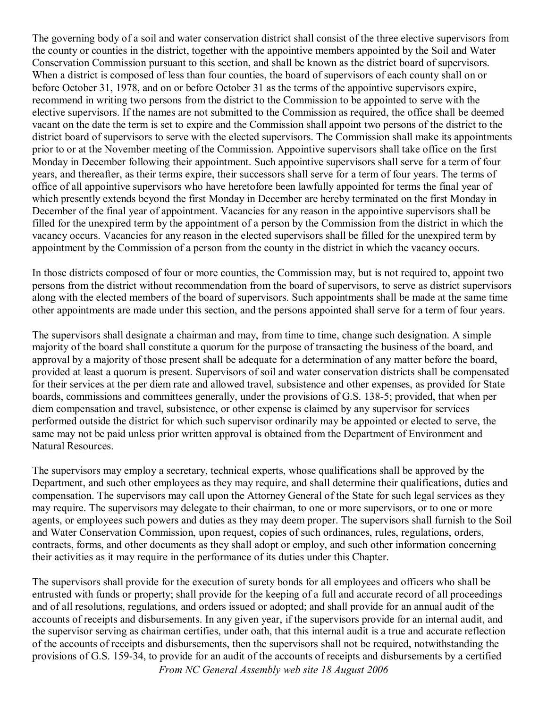The governing body of a soil and water conservation district shall consist of the three elective supervisors from the county or counties in the district, together with the appointive members appointed by the Soil and Water Conservation Commission pursuant to this section, and shall be known as the district board of supervisors. When a district is composed of less than four counties, the board of supervisors of each county shall on or before October 31, 1978, and on or before October 31 as the terms of the appointive supervisors expire, recommend in writing two persons from the district to the Commission to be appointed to serve with the elective supervisors. If the names are not submitted to the Commission as required, the office shall be deemed vacant on the date the term is set to expire and the Commission shall appoint two persons of the district to the district board of supervisors to serve with the elected supervisors. The Commission shall make its appointments prior to or at the November meeting of the Commission. Appointive supervisors shall take office on the first Monday in December following their appointment. Such appointive supervisors shall serve for a term of four years, and thereafter, as their terms expire, their successors shall serve for a term of four years. The terms of office of all appointive supervisors who have heretofore been lawfully appointed for terms the final year of which presently extends beyond the first Monday in December are hereby terminated on the first Monday in December of the final year of appointment. Vacancies for any reason in the appointive supervisors shall be filled for the unexpired term by the appointment of a person by the Commission from the district in which the vacancy occurs. Vacancies for any reason in the elected supervisors shall be filled for the unexpired term by appointment by the Commission of a person from the county in the district in which the vacancy occurs.

In those districts composed of four or more counties, the Commission may, but is not required to, appoint two persons from the district without recommendation from the board of supervisors, to serve as district supervisors along with the elected members of the board of supervisors. Such appointments shall be made at the same time other appointments are made under this section, and the persons appointed shall serve for a term of four years.

The supervisors shall designate a chairman and may, from time to time, change such designation. A simple majority of the board shall constitute a quorum forthe purpose of transacting the business of the board, and approval by a majority of those present shall be adequate for a determination of any matter before the board, provided at least a quorum is present. Supervisors of soil and water conservation districts shall be compensated for their services at the per diem rate and allowed travel, subsistence and other expenses, as provided for State boards, commissions and committees generally, under the provisions of G.S. 138-5; provided, that when per diem compensation and travel, subsistence, or other expense is claimed by any supervisor for services performed outside the district for which such supervisor ordinarily may be appointed or elected to serve, the same may not be paid unless prior written approval is obtained from the Department of Environment and Natural Resources.

The supervisors may employ a secretary, technical experts, whose qualifications shall be approved by the Department, and such other employees as they may require, and shall determine their qualifications, duties and compensation. The supervisors may call upon the Attorney General of the State for such legal services as they may require. The supervisors may delegate to their chairman, to one or more supervisors, or to one or more agents, or employees such powers and duties as they may deem proper. The supervisors shall furnish to the Soil and Water Conservation Commission, upon request, copies of such ordinances, rules, regulations, orders, contracts, forms, and other documents as they shall adopt or employ, and such other information concerning their activities as it may require in the performance of its duties under this Chapter.

*From NC General Assembly web site 18 August 2006* The supervisors shall provide for the execution of surety bonds for all employees and officers who shall be entrusted with funds or property; shall provide for the keeping of a full and accurate record of all proceedings and of all resolutions, regulations, and orders issued or adopted; and shall provide for an annual audit of the accounts of receipts and disbursements. In any given year, if the supervisors provide for an internal audit, and the supervisor serving as chairman certifies, under oath, that this internal audit is a true and accurate reflection of the accounts of receipts and disbursements, then the supervisors shall not be required, notwithstanding the provisions of G.S. 159-34, to provide for an audit of the accounts of receipts and disbursements by a certified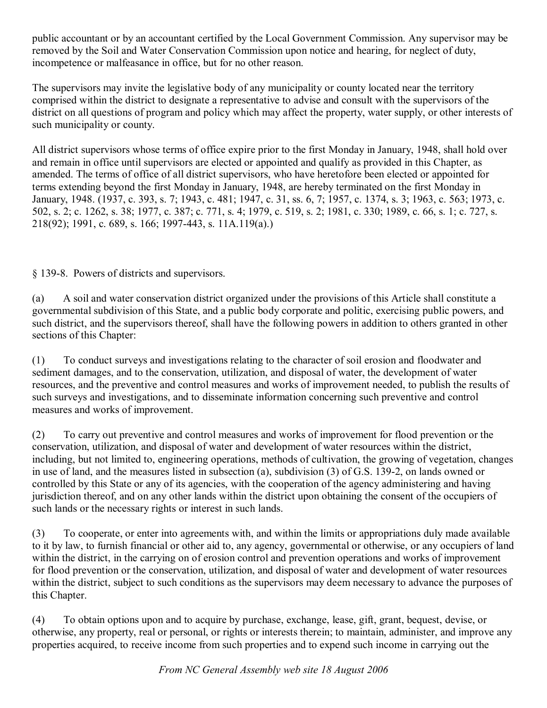public accountant or by an accountant certified by the Local Government Commission. Any supervisor may be removed by the Soil and Water Conservation Commission upon notice and hearing, for neglect of duty, incompetence or malfeasance in office, but for no other reason.

The supervisors may invite the legislative body of any municipality or county located near the territory comprised within the district to designate a representative to advise and consult with the supervisors of the district on all questions of program and policy which may affect the property, water supply, or other interests of such municipality or county.

All district supervisors whose terms of office expire prior to the first Monday in January, 1948, shall hold over and remain in office until supervisors are elected or appointed and qualify as provided in this Chapter, as amended. The terms of office of all district supervisors, who have heretofore been elected or appointed for terms extending beyond the first Monday in January, 1948, are hereby terminated on the first Monday in January, 1948. (1937, c. 393, s. 7; 1943, c. 481; 1947, c. 31, ss. 6, 7; 1957, c. 1374, s. 3; 1963, c. 563; 1973, c. 502, s. 2; c. 1262, s. 38; 1977, c. 387; c. 771, s. 4; 1979, c. 519, s. 2; 1981, c. 330; 1989, c. 66, s. 1; c. 727, s. 218(92); 1991, c. 689, s. 166; 1997443, s. 11A.119(a).)

§ 139-8. Powers of districts and supervisors.

(a) A soil and water conservation district organized under the provisions of this Article shall constitute a governmental subdivision of this State, and a public body corporate and politic, exercising public powers, and such district, and the supervisors thereof, shall have the following powers in addition to others granted in other sections of this Chapter:

(1) To conduct surveys and investigations relating to the character of soil erosion and floodwater and sediment damages, and to the conservation, utilization, and disposal of water, the development of water resources, and the preventive and control measures and works of improvement needed, to publish the results of such surveys and investigations, and to disseminate information concerning such preventive and control measures and works of improvement.

(2) To carry out preventive and control measures and works of improvement for flood prevention or the conservation, utilization, and disposal of water and development of water resources within the district, including, but not limited to, engineering operations, methods of cultivation, the growing of vegetation, changes in use of land, and the measures listed in subsection (a), subdivision (3) of G.S. 139-2, on lands owned or controlled by this State or any of its agencies, with the cooperation of the agency administering and having jurisdiction thereof, and on any other lands within the district upon obtaining the consent of the occupiers of such lands or the necessary rights or interest in such lands.

(3) To cooperate, or enter into agreements with, and within the limits or appropriations duly made available to it by law, to furnish financial or other aid to, any agency, governmental or otherwise, or any occupiers of land within the district, in the carrying on of erosion control and prevention operations and works of improvement for flood prevention or the conservation, utilization, and disposal of water and development of water resources within the district, subject to such conditions as the supervisors may deem necessary to advance the purposes of this Chapter.

(4) To obtain options upon and to acquire by purchase, exchange, lease, gift, grant, bequest, devise, or otherwise, any property, real or personal, or rights or interests therein; to maintain, administer, and improve any properties acquired, to receive income from such properties and to expend such income in carrying out the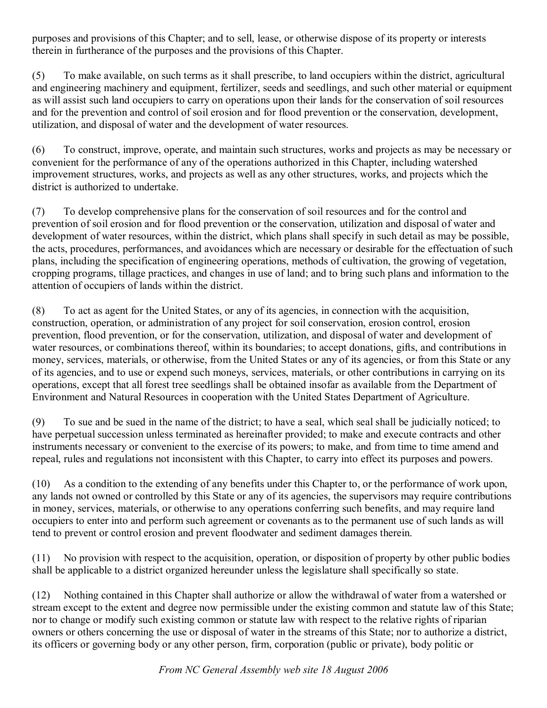purposes and provisions of this Chapter; and to sell, lease, or otherwise dispose of its property or interests therein in furtherance of the purposes and the provisions of this Chapter.

(5) To make available, on such terms as it shall prescribe, to land occupiers within the district, agricultural and engineering machinery and equipment, fertilizer, seeds and seedlings, and such other material or equipment as will assist such land occupiers to carry on operations upon their lands for the conservation of soil resources and for the prevention and control of soil erosion and for flood prevention or the conservation, development, utilization, and disposal of water and the development of water resources.

(6) To construct, improve, operate, and maintain such structures, works and projects as may be necessary or convenient for the performance of any of the operations authorized in this Chapter, including watershed improvement structures, works, and projects as well as any other structures, works, and projects which the district is authorized to undertake.

(7) To develop comprehensive plans for the conservation of soil resources and for the control and prevention of soil erosion and for flood prevention or the conservation, utilization and disposal of water and development of water resources, within the district, which plans shall specify in such detail as may be possible, the acts, procedures, performances, and avoidances which are necessary or desirable for the effectuation of such plans, including the specification of engineering operations, methods of cultivation, the growing of vegetation, cropping programs, tillage practices, and changes in use of land; and to bring such plans and information to the attention of occupiers of lands within the district.

(8) To act as agent for the United States, or any of its agencies, in connection with the acquisition, construction, operation, or administration of any project for soil conservation, erosion control, erosion prevention, flood prevention, or for the conservation, utilization, and disposal of water and development of water resources, or combinations thereof, within its boundaries; to accept donations, gifts, and contributions in money, services, materials, or otherwise, from the United States or any of its agencies, or from this State or any of its agencies, and to use or expend such moneys, services, materials, or other contributions in carrying on its operations, except that all forest tree seedlings shall be obtained insofar as available from the Department of Environment and Natural Resources in cooperation with the United States Department of Agriculture.

(9) To sue and be sued in the name of the district; to have a seal, which seal shall be judicially noticed; to have perpetual succession unless terminated as hereinafter provided; to make and execute contracts and other instruments necessary or convenient to the exercise of its powers; to make, and from time to time amend and repeal, rules and regulations not inconsistent with this Chapter, to carry into effect its purposes and powers.

(10) As a condition to the extending of any benefits under this Chapter to, or the performance of work upon, any lands not owned or controlled by this State or any of its agencies, the supervisors may require contributions in money, services, materials, or otherwise to any operations conferring such benefits, and may require land occupiers to enter into and perform such agreement or covenants as to the permanent use of such lands as will tend to prevent or control erosion and prevent floodwater and sediment damages therein.

(11) No provision with respect to the acquisition, operation, or disposition of property by other public bodies shall be applicable to a district organized hereunder unless the legislature shall specifically so state.

(12) Nothing contained in this Chapter shall authorize or allow the withdrawal of water from a watershed or stream except to the extent and degree now permissible under the existing common and statute law of this State; nor to change or modify such existing common or statute law with respect to the relative rights of riparian owners or others concerning the use or disposal of water in the streams of this State; nor to authorize a district, its officers or governing body or any other person, firm, corporation (public or private), body politic or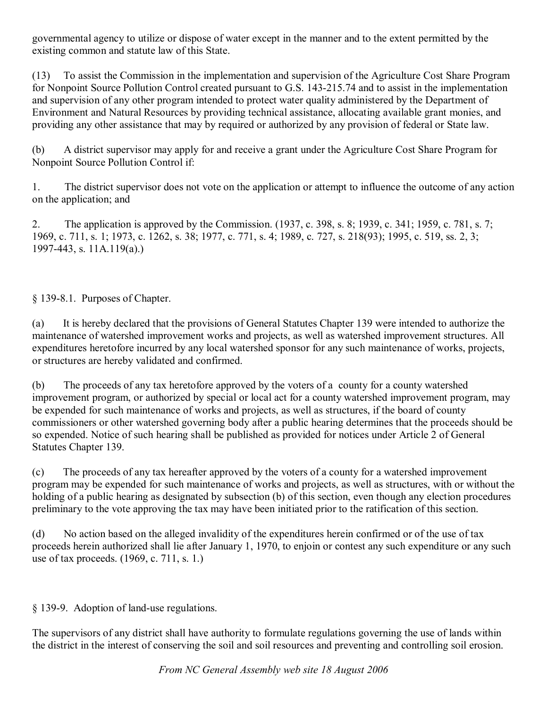governmental agency to utilize or dispose of water except in the manner and to the extent permitted by the existing common and statute law of this State.

(13) To assist the Commission in the implementation and supervision of the Agriculture Cost Share Program for Nonpoint Source Pollution Control created pursuant to G.S. 143-215.74 and to assist in the implementation and supervision of any other program intended to protect water quality administered by the Department of Environment and Natural Resources by providing technical assistance, allocating available grant monies, and providing any other assistance that may by required or authorized by any provision of federal or State law.

(b) A district supervisor may apply for and receive a grant under the Agriculture Cost Share Program for Nonpoint Source Pollution Control if:

1. The district supervisor does not vote on the application or attempt to influence the outcome of any action on the application; and

2. The application is approved by the Commission. (1937, c. 398, s. 8; 1939, c. 341; 1959, c. 781, s. 7; 1969, c. 711, s. 1; 1973, c. 1262, s. 38; 1977, c. 771, s. 4; 1989, c. 727, s. 218(93); 1995, c. 519, ss. 2, 3; 1997443, s. 11A.119(a).)

§ 139-8.1. Purposes of Chapter.

(a) It is hereby declared that the provisions of General Statutes Chapter 139 were intended to authorize the maintenance of watershed improvement works and projects, as well as watershed improvement structures. All expenditures heretofore incurred by any local watershed sponsor for any such maintenance of works, projects, or structures are hereby validated and confirmed.

(b) The proceeds of any tax heretofore approved by the voters of a county for a county watershed improvement program, or authorized by special or local act for a county watershed improvement program, may be expended for such maintenance of works and projects, as well as structures, if the board of county commissioners or other watershed governing body after a public hearing determines that the proceeds should be so expended. Notice of such hearing shall be published as provided for notices under Article 2 of General Statutes Chapter 139.

(c) The proceeds of any tax hereafter approved by the voters of a county for a watershed improvement program may be expended for such maintenance of works and projects, as well as structures, with or without the holding of a public hearing as designated by subsection (b) of this section, even though any election procedures preliminary to the vote approving the tax may have been initiated prior to the ratification of this section.

(d) No action based on the alleged invalidity of the expenditures herein confirmed or of the use of tax proceeds herein authorized shall lie after January 1, 1970, to enjoin or contest any such expenditure or any such use of tax proceeds. (1969, c. 711, s. 1.)

§ 139-9. Adoption of land-use regulations.

The supervisors of any district shall have authority to formulate regulations governing the use of lands within the district in the interest of conserving the soil and soil resources and preventing and controlling soil erosion.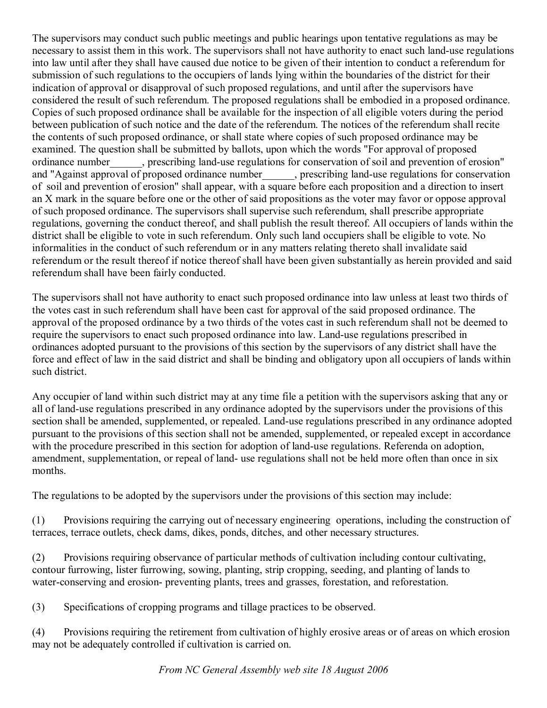The supervisors may conduct such public meetings and public hearings upon tentative regulations as may be necessary to assist them in this work. The supervisors shall not have authority to enact such land-use regulations into law until after they shall have caused due notice to be given of their intention to conduct a referendum for submission of such regulations to the occupiers of lands lying within the boundaries of the district for their indication of approval or disapproval of such proposed regulations, and until after the supervisors have considered the result of such referendum. The proposed regulations shall be embodied in a proposed ordinance. Copies of such proposed ordinance shall be available for the inspection of all eligible voters during the period between publication of such notice and the date of the referendum. The notices of the referendum shall recite the contents of such proposed ordinance, or shall state where copies of such proposed ordinance may be examined. The question shall be submitted by ballots, upon which the words "For approval of proposed ordinance number prescribing land-use regulations for conservation of soil and prevention of erosion" and "Against approval of proposed ordinance number\_\_\_\_\_, prescribing land-use regulations for conservation of soil and prevention of erosion" shall appear, with a square before each proposition and a direction to insert an X mark in the square before one or the other of said propositions as the voter may favor or oppose approval of such proposed ordinance. The supervisors shall supervise such referendum, shall prescribe appropriate regulations, governing the conduct thereof, and shall publish the result thereof. All occupiers of lands within the district shall be eligible to vote in such referendum. Only such land occupiers shall be eligible to vote. No informalities in the conduct of such referendum or in any matters relating thereto shall invalidate said referendum or the result thereof if notice thereof shall have been given substantially as herein provided and said referendum shall have been fairly conducted.

The supervisors shall not have authority to enact such proposed ordinance into law unless at least two thirds of the votes cast in such referendum shall have been cast for approval of the said proposed ordinance. The approval of the proposed ordinance by a two thirds of the votes cast in such referendum shall not be deemed to require the supervisors to enact such proposed ordinance into law. Land-use regulations prescribed in ordinances adopted pursuant to the provisions of this section by the supervisors of any district shall have the force and effect of law in the said district and shall be binding and obligatory upon all occupiers of lands within such district.

Any occupier of land within such district may at any time file a petition with the supervisors asking that any or all of land-use regulations prescribed in any ordinance adopted by the supervisors under the provisions of this section shall be amended, supplemented, or repealed. Land-use regulations prescribed in any ordinance adopted pursuant to the provisions of this section shall not be amended, supplemented, or repealed except in accordance with the procedure prescribed in this section for adoption of land-use regulations. Referenda on adoption, amendment, supplementation, or repeal of land- use regulations shall not be held more often than once in six months.

The regulations to be adopted by the supervisors under the provisions of this section may include:

(1) Provisions requiring the carrying out of necessary engineering operations, including the construction of terraces, terrace outlets, check dams, dikes, ponds, ditches, and other necessary structures.

(2) Provisions requiring observance of particular methods of cultivation including contour cultivating, contour furrowing, lister furrowing, sowing, planting, strip cropping, seeding, and planting of lands to water-conserving and erosion- preventing plants, trees and grasses, forestation, and reforestation.

(3) Specifications of cropping programs and tillage practices to be observed.

(4) Provisions requiring the retirement from cultivation of highly erosive areas or of areas on which erosion may not be adequately controlled if cultivation is carried on.

*From NC General Assembly web site 18 August 2006*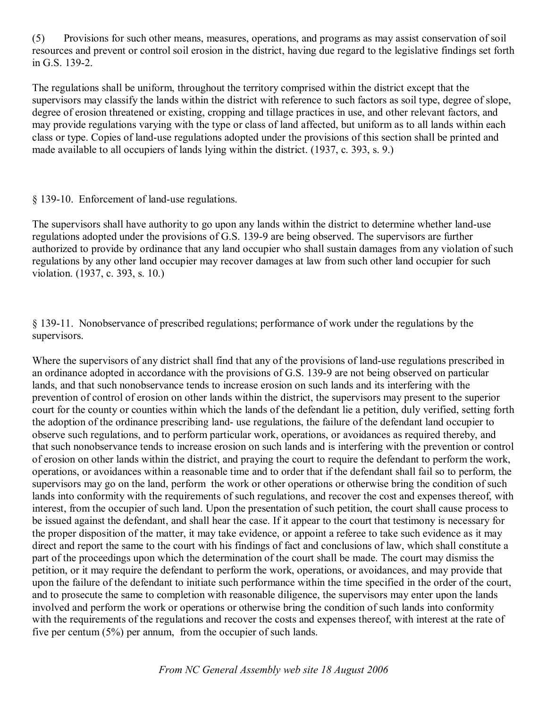(5) Provisions for such other means, measures, operations, and programs as may assist conservation of soil resources and prevent or control soil erosion in the district, having due regard to the legislative findings set forth in G.S. 139-2.

The regulations shall be uniform, throughout the territory comprised within the district except that the supervisors may classify the lands within the district with reference to such factors as soil type, degree of slope, degree of erosion threatened or existing, cropping and tillage practices in use, and other relevant factors, and may provide regulations varying with the type or class of land affected, but uniform as to all lands within each class or type. Copies of land-use regulations adopted under the provisions of this section shall be printed and made available to all occupiers of lands lying within the district. (1937, c. 393, s. 9.)

## § 139-10. Enforcement of land-use regulations.

The supervisors shall have authority to go upon any lands within the district to determine whether land-use regulations adopted under the provisions of G.S. 139-9 are being observed. The supervisors are further authorized to provide by ordinance that any land occupier who shall sustain damages from any violation of such regulations by any other land occupier may recover damages at law from such other land occupier for such violation. (1937, c. 393, s. 10.)

§ 13911. Nonobservance of prescribed regulations; performance of work under the regulations by the supervisors.

Where the supervisors of any district shall find that any of the provisions of land-use regulations prescribed in an ordinance adopted in accordance with the provisions of G.S. 139-9 are not being observed on particular lands, and that such nonobservance tends to increase erosion on such lands and its interfering with the prevention of control of erosion on other lands within the district, the supervisors may present to the superior court for the county or counties within which the lands of the defendant lie a petition, duly verified, setting forth the adoption of the ordinance prescribing land- use regulations, the failure of the defendant land occupier to observe such regulations, and to perform particular work, operations, or avoidances as required thereby, and that such nonobservance tends to increase erosion on such lands and is interfering with the prevention or control of erosion on other lands within the district, and praying the court to require the defendant to perform the work, operations, or avoidances within a reasonable time and to order that if the defendant shall fail so to perform, the supervisors may go on the land, perform the work or other operations or otherwise bring the condition of such lands into conformity with the requirements of such regulations, and recover the cost and expenses thereof, with interest, from the occupier of such land. Upon the presentation of such petition, the court shall cause process to be issued against the defendant, and shall hear the case. If it appear to the court that testimony is necessary for the proper disposition of the matter, it may take evidence, or appoint a referee to take such evidence as it may direct and report the same to the court with his findings of fact and conclusions of law, which shall constitute a part of the proceedings upon which the determination of the court shall be made. The court may dismiss the petition, or it may require the defendant to perform the work, operations, or avoidances, and may provide that upon the failure of the defendant to initiate such performance within the time specified in the order of the court, and to prosecute the same to completion with reasonable diligence, the supervisors may enter upon the lands involved and perform the work or operations or otherwise bring the condition of such lands into conformity with the requirements of the regulations and recover the costs and expenses thereof, with interest at the rate of five per centum (5%) per annum, from the occupier of such lands.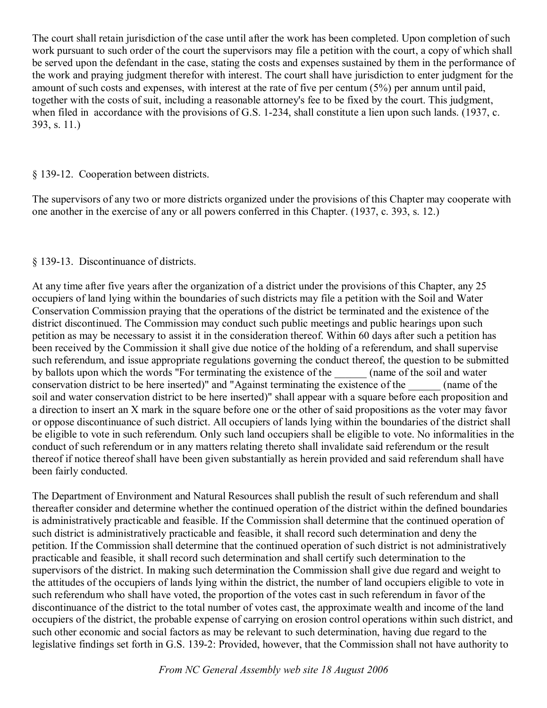The court shall retain jurisdiction of the case until after the work has been completed. Upon completion of such work pursuant to such order of the court the supervisors may file a petition with the court, a copy of which shall be served upon the defendant in the case, stating the costs and expenses sustained by them in the performance of the work and praying judgment therefor with interest. The court shall have jurisdiction to enter judgment for the amount of such costs and expenses, with interest at the rate of five per centum (5%) per annum until paid, together with the costs of suit, including a reasonable attorney's fee to be fixed by the court. This judgment, when filed in accordance with the provisions of G.S. 1-234, shall constitute a lien upon such lands. (1937, c. 393, s. 11.)

### § 13912. Cooperation between districts.

The supervisors of any two or more districts organized under the provisions of this Chapter may cooperate with one another in the exercise of any or all powers conferred in this Chapter. (1937, c. 393, s. 12.)

## § 139-13. Discontinuance of districts.

At any time after five years after the organization of a district under the provisions of this Chapter, any 25 occupiers of land lying within the boundaries of such districts may file a petition with the Soil and Water Conservation Commission praying that the operations of the district be terminated and the existence of the district discontinued. The Commission may conduct such public meetings and public hearings upon such petition as may be necessary to assist it in the consideration thereof. Within 60 days after such a petition has been received by the Commission it shall give due notice of the holding of a referendum, and shall supervise such referendum, and issue appropriate regulations governing the conduct thereof, the question to be submitted by ballots upon which the words "For terminating the existence of the  $\qquad \qquad$  (name of the soil and water conservation district to be here inserted)" and "Against terminating the existence of the  $\qquad \qquad$  (name of the soil and water conservation district to be here inserted)" shall appear with a square before each proposition and a direction to insert an X mark in the square before one or the other of said propositions as the voter may favor or oppose discontinuance of such district. All occupiers of lands lying within the boundaries of the district shall be eligible to vote in such referendum. Only such land occupiers shall be eligible to vote. No informalities in the conduct of such referendum or in any matters relating thereto shall invalidate said referendum or the result thereof if notice thereof shall have been given substantially as herein provided and said referendum shall have been fairly conducted.

The Department of Environment and Natural Resources shall publish the result of such referendum and shall thereafter consider and determine whether the continued operation of the district within the defined boundaries is administratively practicable and feasible. If the Commission shall determine that the continued operation of such district is administratively practicable and feasible, it shall record such determination and deny the petition. If the Commission shall determine that the continued operation of such district is not administratively practicable and feasible, it shall record such determination and shall certify such determination to the supervisors of the district. In making such determination the Commission shall give due regard and weight to the attitudes of the occupiers of lands lying within the district, the number of land occupiers eligible to vote in such referendum who shall have voted, the proportion of the votes cast in such referendum in favor of the discontinuance of the district to the total number of votes cast, the approximate wealth and income of the land occupiers of the district, the probable expense of carrying on erosion control operations within such district, and such other economic and social factors as may be relevant to such determination, having due regard to the legislative findings set forth in G.S. 139-2: Provided, however, that the Commission shall not have authority to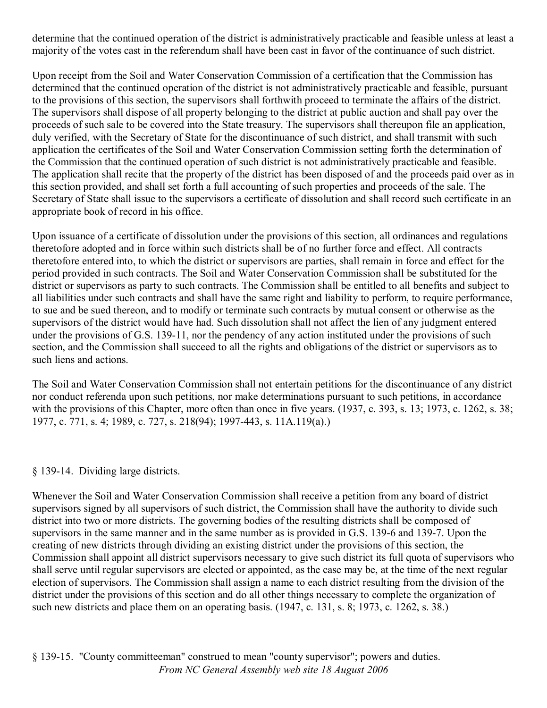determine that the continued operation of the district is administratively practicable and feasible unless at least a majority of the votes cast in the referendum shall have been cast in favor of the continuance of such district.

Upon receipt from the Soil and Water Conservation Commission of a certification that the Commission has determined that the continued operation of the district is not administratively practicable and feasible, pursuant to the provisions of this section, the supervisors shall forthwith proceed to terminate the affairs of the district. The supervisors shall dispose of all property belonging to the district at public auction and shall pay over the proceeds of such sale to be covered into the State treasury. The supervisors shall thereupon file an application, duly verified, with the Secretary of State for the discontinuance of such district, and shall transmit with such application the certificates of the Soil and Water Conservation Commission setting forth the determination of the Commission that the continued operation of such district is not administratively practicable and feasible. The application shall recite that the property of the district has been disposed of and the proceeds paid over as in this section provided, and shall set forth a full accounting of such properties and proceeds of the sale. The Secretary of State shall issue to the supervisors a certificate of dissolution and shall record such certificate in an appropriate book of record in his office.

Upon issuance of a certificate of dissolution under the provisions of this section, all ordinances and regulations theretofore adopted and in force within such districts shall be of no further force and effect. All contracts theretofore entered into, to which the district or supervisors are parties, shall remain in force and effect for the period provided in such contracts. The Soil and Water Conservation Commission shall be substituted for the district or supervisors as party to such contracts. The Commission shall be entitled to all benefits and subject to all liabilities under such contracts and shall have the same right and liability to perform, to require performance, to sue and be sued thereon, and to modify or terminate such contracts by mutual consent or otherwise as the supervisors of the district would have had. Such dissolution shall not affect the lien of any judgment entered under the provisions of G.S. 139-11, nor the pendency of any action instituted under the provisions of such section, and the Commission shall succeed to all the rights and obligations of the district or supervisors as to such liens and actions.

The Soil and Water Conservation Commission shall not entertain petitions for the discontinuance of any district nor conduct referenda upon such petitions, nor make determinations pursuant to such petitions, in accordance with the provisions of this Chapter, more often than once in five years. (1937, c. 393, s. 13; 1973, c. 1262, s. 38; 1977, c. 771, s. 4; 1989, c. 727, s. 218(94); 1997443, s. 11A.119(a).)

#### § 139-14. Dividing large districts.

Whenever the Soil and Water Conservation Commission shall receive a petition from any board of district supervisors signed by all supervisors of such district, the Commission shall have the authority to divide such district into two or more districts. The governing bodies of the resulting districts shall be composed of supervisors in the same manner and in the same number as is provided in G.S. 139-6 and 139-7. Upon the creating of new districts through dividing an existing district under the provisions of this section, the Commission shall appoint all district supervisors necessary to give such district its full quota of supervisors who shall serve until regular supervisors are elected or appointed, as the case may be, at the time of the next regular election of supervisors. The Commission shall assign a name to each district resulting from the division of the district under the provisions of this section and do all other things necessary to complete the organization of such new districts and place them on an operating basis. (1947, c. 131, s. 8; 1973, c. 1262, s. 38.)

*From NC General Assembly web site 18 August 2006* § 13915. "County committeeman" construed to mean "county supervisor"; powers and duties.